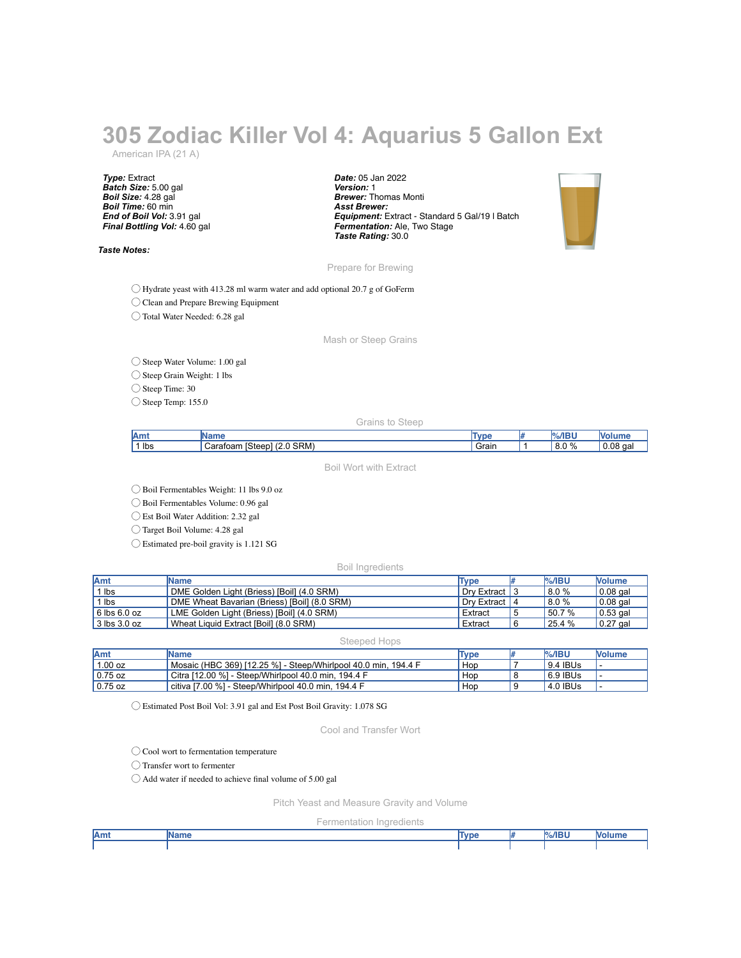## **305 Zodiac Killer Vol 4: Aquarius 5 Gallon Ext**

American IPA (21 A)

*Type:* Extract *Batch Size:* 5.00 gal *Boil Size:* 4.28 gal *Boil Time:* 60 min *End of Boil Vol:* 3.91 gal *Final Bottling Vol:* 4.60 gal

*Taste Notes:*

*Date:* 05 Jan 2022 *Version:* 1 *Brewer:* Thomas Monti *Asst Brewer: Equipment:* Extract - Standard 5 Gal/19 l Batch *Fermentation:* Ale, Two Stage *Taste Rating:* 30.0



Prepare for Brewing

◯ Hydrate yeast with 413.28 ml warm water and add optional 20.7 g of GoFerm

◯ Clean and Prepare Brewing Equipment

◯ Total Water Needed: 6.28 gal

Mash or Steep Grains

◯ Steep Water Volume: 1.00 gal

◯ Steep Grain Weight: 1 lbs

◯ Steep Time: 30

◯ Steep Temp: 155.0

Grains to Steep

| $\cap$ $\Omega'$<br>--<br>$\sim$<br>`orotoom | <b>Am</b> | ----                                | $T_{MMA}$ | %/IE      |             |
|----------------------------------------------|-----------|-------------------------------------|-----------|-----------|-------------|
| v.v                                          | lbs       | SRM <sup>®</sup><br>…nter<br>711771 | Grain     | 8.0<br>70 | $\sim$<br>Ω |

Boil Wort with Extract

◯ Boil Fermentables Weight: 11 lbs 9.0 oz

◯ Boil Fermentables Volume: 0.96 gal

◯ Est Boil Water Addition: 2.32 gal

◯ Target Boil Volume: 4.28 gal

◯ Estimated pre-boil gravity is 1.121 SG

Boil Ingredients

| Amt                  | <b>Name</b>                                  | Type           | $%$ /IBU | <b>Nolume</b>    |
|----------------------|----------------------------------------------|----------------|----------|------------------|
| 1 lbs                | DME Golden Light (Briess) [Boil] (4.0 SRM)   | Drv Extract 13 | 8.0%     | $0.08$ gal       |
| 1 lbs                | DME Wheat Bavarian (Briess) [Boil] (8.0 SRM) | Drv Extract 14 | 18.0%    | $0.08$ gal       |
| $\vert$ 6 lbs 6.0 oz | LME Golden Light (Briess) [Boil] (4.0 SRM)   | Extract        | 50.7 %   | $\vert$ 0.53 gal |
| $\vert$ 3 lbs 3.0 oz | Wheat Liquid Extract [Boil] (8.0 SRM)        | Extract        | 125.4%   | $\vert 0.27$ gal |

Steeped Hops

| <b>IAmt</b> | Name                                                           | <b>Type</b> | $%$ /IBL | <b>Nolume</b> |
|-------------|----------------------------------------------------------------|-------------|----------|---------------|
| 1.00 oz     | Mosaic (HBC 369) [12.25 %] - Steep/Whirlpool 40.0 min. 194.4 F | Hop         | 9.4 IBUs |               |
| $0.75$ oz   | Citra [12.00 %] - Steep/Whirlpool 40.0 min. 194.4 F            | Hop         | 6.9 IBUs |               |
| $0.75$ oz   | citiva [7,00 %] - Steep/Whirlpool 40.0 min. 194.4 F            | Hop         | 4.0 IBUs |               |

◯ Estimated Post Boil Vol: 3.91 gal and Est Post Boil Gravity: 1.078 SG

Cool and Transfer Wort

◯ Cool wort to fermentation temperature

◯ Transfer wort to fermenter

◯ Add water if needed to achieve final volume of 5.00 gal

Pitch Yeast and Measure Gravity and Volume

Fermentation Ingredients

| Amt | .<br>vanne | Tync<br>7 N.D. | $%$ /IBU<br>m | ш. |
|-----|------------|----------------|---------------|----|
|     |            |                |               |    |